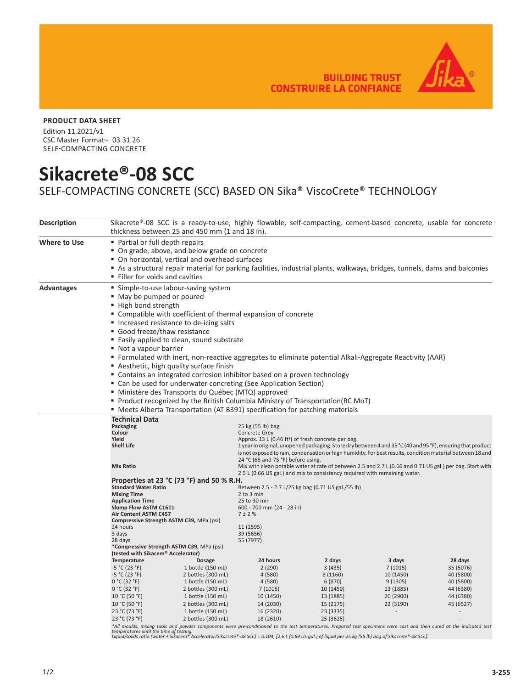**BUILDING TRUST CONSTRUIRE LA CONFIANCE** 



## **PRODUCT DATA SHEET**

Edition 11.2021/v1 CSC Master Format<sup>™</sup> 03 31 26 SELF-COMPACTING CONCRETE

## **Sikacrete®-08 SCC**

SELF-COMPACTING CONCRETE (SCC) BASED ON Sika® ViscoCrete® TECHNOLOGY

| <b>Description</b> | thickness between 25 and 450 mm (1 and 18 in).                                                                                                                                                                                                                                                                                                                                                                                                                                                                                                                                                                                                                                 |                                                                                                                                                                          | Sikacrete®-08 SCC is a ready-to-use, highly flowable, self-compacting, cement-based concrete, usable for concrete                                                                                                                                                                                                                                                                                                                                                                                                                                                   |                                                                                                |                                                                        |                                                                            |  |  |
|--------------------|--------------------------------------------------------------------------------------------------------------------------------------------------------------------------------------------------------------------------------------------------------------------------------------------------------------------------------------------------------------------------------------------------------------------------------------------------------------------------------------------------------------------------------------------------------------------------------------------------------------------------------------------------------------------------------|--------------------------------------------------------------------------------------------------------------------------------------------------------------------------|---------------------------------------------------------------------------------------------------------------------------------------------------------------------------------------------------------------------------------------------------------------------------------------------------------------------------------------------------------------------------------------------------------------------------------------------------------------------------------------------------------------------------------------------------------------------|------------------------------------------------------------------------------------------------|------------------------------------------------------------------------|----------------------------------------------------------------------------|--|--|
| Where to Use       | • Partial or full depth repairs<br>" On grade, above, and below grade on concrete<br>• On horizontal, vertical and overhead surfaces<br>Filler for voids and cavities                                                                                                                                                                                                                                                                                                                                                                                                                                                                                                          |                                                                                                                                                                          | As a structural repair material for parking facilities, industrial plants, walkways, bridges, tunnels, dams and balconies                                                                                                                                                                                                                                                                                                                                                                                                                                           |                                                                                                |                                                                        |                                                                            |  |  |
| <b>Advantages</b>  | ■ Simple-to-use labour-saving system<br>" May be pumped or poured<br>■ High bond strength<br>" Compatible with coefficient of thermal expansion of concrete<br>■ Increased resistance to de-icing salts<br>Good freeze/thaw resistance<br>■ Easily applied to clean, sound substrate<br>■ Not a vapour barrier<br>■ Formulated with inert, non-reactive aggregates to eliminate potential Alkali-Aggregate Reactivity (AAR)<br>Aesthetic, high quality surface finish<br>• Contains an integrated corrosion inhibitor based on a proven technology<br>• Can be used for underwater concreting (See Application Section)<br>" Ministère des Transports du Québec (MTQ) approved |                                                                                                                                                                          |                                                                                                                                                                                                                                                                                                                                                                                                                                                                                                                                                                     |                                                                                                |                                                                        |                                                                            |  |  |
|                    | " Product recognized by the British Columbia Ministry of Transportation(BC MoT)<br>• Meets Alberta Transportation (AT B391) specification for patching materials                                                                                                                                                                                                                                                                                                                                                                                                                                                                                                               |                                                                                                                                                                          |                                                                                                                                                                                                                                                                                                                                                                                                                                                                                                                                                                     |                                                                                                |                                                                        |                                                                            |  |  |
|                    | <b>Technical Data</b><br>Packaging<br>Colour<br>Yield<br><b>Shelf Life</b><br><b>Mix Ratio</b><br>Properties at 23 $^{\circ}$ C (73 $^{\circ}$ F) and 50 % R.H.                                                                                                                                                                                                                                                                                                                                                                                                                                                                                                                |                                                                                                                                                                          | 25 kg (55 lb) bag<br>Concrete Grey<br>Approx. 13 L (0.46 ft <sup>3</sup> ) of fresh concrete per bag.<br>1 year in original, unopened packaging. Store dry between 4 and 35 °C (40 and 95 °F), ensuring that product<br>is not exposed to rain, condensation or high humidity. For best results, condition material between 18 and<br>24 °C (65 and 75 °F) before using.<br>Mix with clean potable water at rate of between 2.5 and 2.7 L (0.66 and 0.71 US gal.) per bag. Start with<br>2.5 L (0.66 US gal.) and mix to consistency required with remaining water. |                                                                                                |                                                                        |                                                                            |  |  |
|                    | <b>Standard Water Ratio</b><br><b>Mixing Time</b><br><b>Application Time</b><br>Slump Flow ASTM C1611<br>Air Content ASTM C457<br>Compressive Strength ASTM C39, MPa (psi)<br>24 hours<br>3 days<br>28 days<br>*Compressive Strength ASTM C39, MPa (psi)<br>(tested with Sikacem® Accelerator)<br>Temperature<br><b>Dosage</b>                                                                                                                                                                                                                                                                                                                                                 |                                                                                                                                                                          | Between 2.5 - 2.7 L/25 kg bag (0.71 US gal./55 lb)<br>2 to 3 min<br>25 to 30 min<br>600 - 700 mm (24 - 28 in)<br>7 ± 2 %<br>11 (1595)<br>39 (5656)<br>55 (7977)<br>24 hours                                                                                                                                                                                                                                                                                                                                                                                         | 2 days                                                                                         | 3 days                                                                 | 28 days                                                                    |  |  |
|                    | $-5 °C (23 °F)$<br>$-5 °C (23 °F)$<br>0 °C (32 °F)<br>0 °C (32 °F)<br>10 °C (50 °F)<br>10 °C (50 °F)<br>23 °C (73 °F)<br>23 °C (73 °F)                                                                                                                                                                                                                                                                                                                                                                                                                                                                                                                                         | 1 bottle (150 mL)<br>2 bottles (300 mL)<br>1 bottle (150 mL)<br>2 bottles (300 mL)<br>1 bottle (150 mL)<br>2 bottles (300 mL)<br>1 bottle (150 mL)<br>2 bottles (300 mL) | 2(290)<br>4(580)<br>4(580)<br>7(1015)<br>10 (1450)<br>14 (2030)<br>16 (2320)<br>18 (2610)<br>*All moulds, mixing tools and powder components were pre-conditioned to the test temperatures. Prepared test specimens were cast and then cured at the indicated test                                                                                                                                                                                                                                                                                                  | 3(435)<br>8 (1160)<br>6 (870)<br>10 (1450)<br>13 (1885)<br>15 (2175)<br>23 (3335)<br>25 (3625) | 7(1015)<br>10 (1450)<br>9(1305)<br>13 (1885)<br>20 (2900)<br>22 (3190) | 35 (5076)<br>40 (5800)<br>40 (5800)<br>44 (6380)<br>44 (6380)<br>45 (6527) |  |  |

\*All moulds, mixing tools and powder components were pre-conditioned to the test temperatures. Prepared test specimens were cast and then cured at the indicated test<br>temperatures until the time of testing.<br>Liquid/solids ra